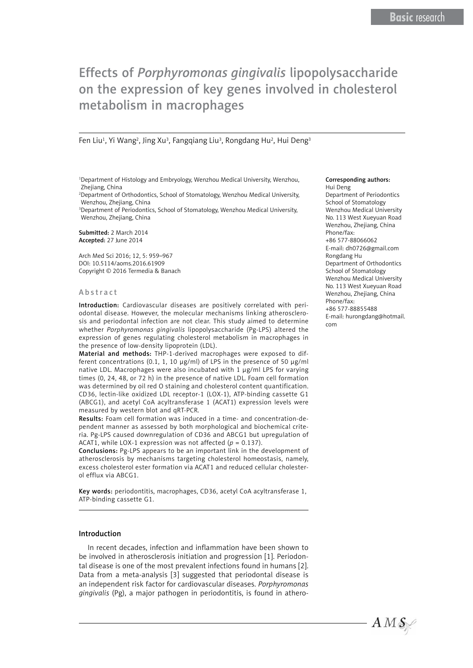# Effects of *Porphyromonas gingivalis* lipopolysaccharide on the expression of key genes involved in cholesterol metabolism in macrophages

#### Fen Liu<sup>1</sup>, Yi Wang<sup>2</sup>, Jing Xu<sup>3</sup>, Fangqiang Liu<sup>3</sup>, Rongdang Hu<sup>2</sup>, Hui Deng<sup>3</sup>

1 Department of Histology and Embryology, Wenzhou Medical University, Wenzhou, Zhejiang, China

2 Department of Orthodontics, School of Stomatology, Wenzhou Medical University, Wenzhou, Zhejiang, China

3 Department of Periodontics, School of Stomatology, Wenzhou Medical University, Wenzhou, Zhejiang, China

Submitted: 2 March 2014 Accepted: 27 June 2014

Arch Med Sci 2016; 12, 5: 959–967 DOI: 10.5114/aoms.2016.61909 Copyright © 2016 Termedia & Banach

#### A b s t r a c t

Introduction: Cardiovascular diseases are positively correlated with periodontal disease. However, the molecular mechanisms linking atherosclerosis and periodontal infection are not clear. This study aimed to determine whether *Porphyromonas gingivalis* lipopolysaccharide (Pg-LPS) altered the expression of genes regulating cholesterol metabolism in macrophages in the presence of low-density lipoprotein (LDL).

Material and methods: THP-1-derived macrophages were exposed to different concentrations (0.1, 1, 10  $\mu$ g/ml) of LPS in the presence of 50  $\mu$ g/ml native LDL. Macrophages were also incubated with 1 µg/ml LPS for varying times (0, 24, 48, or 72 h) in the presence of native LDL. Foam cell formation was determined by oil red O staining and cholesterol content quantification. CD36, lectin-like oxidized LDL receptor-1 (LOX-1), ATP-binding cassette G1 (ABCG1), and acetyl CoA acyltransferase 1 (ACAT1) expression levels were measured by western blot and qRT-PCR.

Results: Foam cell formation was induced in a time- and concentration-dependent manner as assessed by both morphological and biochemical criteria. Pg-LPS caused downregulation of CD36 and ABCG1 but upregulation of ACAT1, while LOX-1 expression was not affected  $(p = 0.137)$ .

Conclusions: Pg-LPS appears to be an important link in the development of atherosclerosis by mechanisms targeting cholesterol homeostasis, namely, excess cholesterol ester formation via ACAT1 and reduced cellular cholesterol efflux via ABCG1.

Key words: periodontitis, macrophages, CD36, acetyl CoA acyltransferase 1, ATP-binding cassette G1.

#### Introduction

In recent decades, infection and inflammation have been shown to be involved in atherosclerosis initiation and progression [1]. Periodontal disease is one of the most prevalent infections found in humans [2]. Data from a meta-analysis [3] suggested that periodontal disease is an independent risk factor for cardiovascular diseases. *Porphyromonas gingivalis* (Pg), a major pathogen in periodontitis, is found in athero-

#### Corresponding authors: Hui Deng

Department of Periodontics School of Stomatology Wenzhou Medical University No. 113 West Xueyuan Road Wenzhou, Zheijang, China Phone/fax: +86 577-88066062 E-mail: [dh0726@gmail.com](mailto:dh0726@gmail.com) Rongdang Hu Department of Orthodontics School of Stomatology Wenzhou Medical University No. 113 West Xueyuan Road Wenzhou, Zhejiang, China Phone/fax: +86 577-88855488

E-mail: [hurongdang@hotmail.](mailto:hurongdang@hotmail.com) [com](mailto:hurongdang@hotmail.com)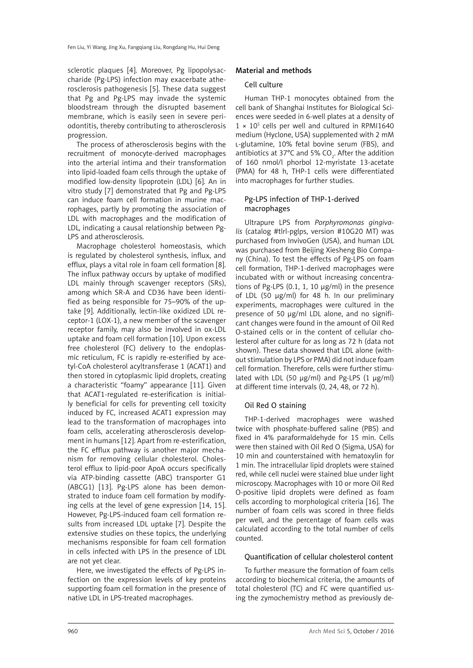sclerotic plaques [4]. Moreover, Pg lipopolysaccharide (Pg-LPS) infection may exacerbate atherosclerosis pathogenesis [5]. These data suggest that Pg and Pg-LPS may invade the systemic bloodstream through the disrupted basement membrane, which is easily seen in severe periodontitis, thereby contributing to atherosclerosis progression.

The process of atherosclerosis begins with the recruitment of monocyte-derived macrophages into the arterial intima and their transformation into lipid-loaded foam cells through the uptake of modified low-density lipoprotein (LDL) [6]. An in vitro study [7] demonstrated that Pg and Pg-LPS can induce foam cell formation in murine macrophages, partly by promoting the association of LDL with macrophages and the modification of LDL, indicating a causal relationship between Pg-LPS and atherosclerosis.

Macrophage cholesterol homeostasis, which is regulated by cholesterol synthesis, influx, and efflux, plays a vital role in foam cell formation [8]. The influx pathway occurs by uptake of modified LDL mainly through scavenger receptors (SRs), among which SR-A and CD36 have been identified as being responsible for 75–90% of the uptake [9]. Additionally, lectin-like oxidized LDL receptor-1 (LOX-1), a new member of the scavenger receptor family, may also be involved in ox-LDL uptake and foam cell formation [10]. Upon excess free cholesterol (FC) delivery to the endoplasmic reticulum, FC is rapidly re-esterified by acetyl-CoA cholesterol acyltransferase 1 (ACAT1) and then stored in cytoplasmic lipid droplets, creating a characteristic "foamy" appearance [11]. Given that ACAT1-regulated re-esterification is initially beneficial for cells for preventing cell toxicity induced by FC, increased ACAT1 expression may lead to the transformation of macrophages into foam cells, accelerating atherosclerosis development in humans [12]. Apart from re-esterification, the FC efflux pathway is another major mechanism for removing cellular cholesterol. Cholesterol efflux to lipid-poor ApoA occurs specifically via ATP-binding cassette (ABC) transporter G1 (ABCG1) [13]. Pg-LPS alone has been demonstrated to induce foam cell formation by modifying cells at the level of gene expression [14, 15]. However, Pg-LPS-induced foam cell formation results from increased LDL uptake [7]. Despite the extensive studies on these topics, the underlying mechanisms responsible for foam cell formation in cells infected with LPS in the presence of LDL are not yet clear.

Here, we investigated the effects of Pg-LPS infection on the expression levels of key proteins supporting foam cell formation in the presence of native LDL in LPS-treated macrophages.

## Material and methods

#### Cell culture

Human THP-1 monocytes obtained from the cell bank of Shanghai Institutes for Biological Sciences were seeded in 6-well plates at a density of  $1 \times 10^5$  cells per well and cultured in RPMI1640 medium (Hyclone, USA) supplemented with 2 mM l-glutamine, 10% fetal bovine serum (FBS), and antibiotics at 37°C and 5% CO<sub>2</sub>. After the addition of 160 nmol/l phorbol 12-myristate 13-acetate (PMA) for 48 h, THP-1 cells were differentiated into macrophages for further studies.

## Pg-LPS infection of THP-1-derived macrophages

Ultrapure LPS from *Porphyromonas gingivalis* (catalog #tlrl-pglps, version #10G20 MT) was purchased from InvivoGen (USA), and human LDL was purchased from Beijing Xiesheng Bio Company (China). To test the effects of Pg-LPS on foam cell formation, THP-1-derived macrophages were incubated with or without increasing concentrations of Pg-LPS (0.1, 1, 10 µg/ml) in the presence of LDL (50 µg/ml) for 48 h. In our preliminary experiments, macrophages were cultured in the presence of 50 µg/ml LDL alone, and no significant changes were found in the amount of Oil Red O-stained cells or in the content of cellular cholesterol after culture for as long as 72 h (data not shown). These data showed that LDL alone (without stimulation by LPS or PMA) did not induce foam cell formation*.* Therefore, cells were further stimulated with LDL (50  $\mu$ g/ml) and Pg-LPS (1  $\mu$ g/ml) at different time intervals (0, 24, 48, or 72 h).

## Oil Red O staining

THP-1-derived macrophages were washed twice with phosphate-buffered saline (PBS) and fixed in 4% paraformaldehyde for 15 min. Cells were then stained with Oil Red O (Sigma, USA) for 10 min and counterstained with hematoxylin for 1 min. The intracellular lipid droplets were stained red, while cell nuclei were stained blue under light microscopy. Macrophages with 10 or more Oil Red O-positive lipid droplets were defined as foam cells according to morphological criteria [16]. The number of foam cells was scored in three fields per well, and the percentage of foam cells was calculated according to the total number of cells counted.

#### Quantification of cellular cholesterol content

To further measure the formation of foam cells according to biochemical criteria, the amounts of total cholesterol (TC) and FC were quantified using the zymochemistry method as previously de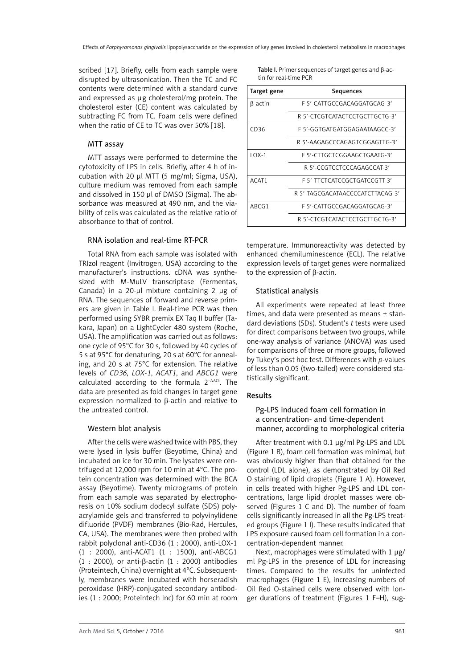scribed [17]. Briefly, cells from each sample were disrupted by ultrasonication. Then the TC and FC contents were determined with a standard curve and expressed as µg cholesterol/mg protein. The cholesterol ester (CE) content was calculated by subtracting FC from TC. Foam cells were defined when the ratio of CE to TC was over 50% [18].

# MTT assay

MTT assays were performed to determine the cytotoxicity of LPS in cells. Briefly, after 4 h of incubation with 20 µl MTT (5 mg/ml; Sigma, USA), culture medium was removed from each sample and dissolved in 150 µl of DMSO (Sigma). The absorbance was measured at 490 nm, and the viability of cells was calculated as the relative ratio of absorbance to that of control.

# RNA isolation and real-time RT-PCR

Total RNA from each sample was isolated with TRIzol reagent (Invitrogen, USA) according to the manufacturer's instructions. cDNA was synthesized with M-MuLV transcriptase (Fermentas, Canada) in a  $20$ -µl mixture containing  $2 \mu$ g of RNA. The sequences of forward and reverse primers are given in Table I. Real-time PCR was then performed using SYBR premix EX Taq II buffer (Takara, Japan) on a LightCycler 480 system (Roche, USA). The amplification was carried out as follows: one cycle of 95°C for 30 s, followed by 40 cycles of 5 s at 95°C for denaturing, 20 s at 60°C for annealing, and 20 s at 75°C for extension. The relative levels of *CD36*, *LOX-1*, *ACAT1*, and *ABCG1* were calculated according to the formula 2<sup>-ΔΔCt</sup>. The data are presented as fold changes in target gene expression normalized to  $\beta$ -actin and relative to the untreated control.

# Western blot analysis

After the cells were washed twice with PBS, they were lysed in lysis buffer (Beyotime, China) and incubated on ice for 30 min. The lysates were centrifuged at 12,000 rpm for 10 min at 4°C. The protein concentration was determined with the BCA assay (Beyotime). Twenty micrograms of protein from each sample was separated by electrophoresis on 10% sodium dodecyl sulfate (SDS) polyacrylamide gels and transferred to polyvinylidene difluoride (PVDF) membranes (Bio-Rad, Hercules, CA, USA). The membranes were then probed with rabbit polyclonal anti-CD36 (1 : 2000), anti-LOX-1 (1 : 2000), anti-ACAT1 (1 : 1500), anti-ABCG1 (1 : 2000), or anti-β-actin (1 : 2000) antibodies (Proteintech, China) overnight at 4°C. Subsequently, membranes were incubated with horseradish peroxidase (HRP)-conjugated secondary antibodies (1 : 2000; Proteintech Inc) for 60 min at room Table I. Primer sequences of target genes and β-actin for real-time PCR

| Target gene | Sequences                        |
|-------------|----------------------------------|
| β-actin     | F 5'-CATTGCCGACAGGATGCAG-3'      |
|             | R 5'-CTCGTCATACTCCTGCTTGCTG-3'   |
| CD36        | F 5'-GGTGATGATGGAGAATAAGCC-3'    |
|             | R 5'-AAGAGCCCAGAGTCGGAGTTG-3'    |
| $10X-1$     | F 5'-CTTGCTCGGAAGCTGAATG-3'      |
|             | R 5'-CCGTCCTCCCAGAGCCAT-3'       |
| ACAT1       | F 5'-TTCTCATCCGCTGATCCGTT-3'     |
|             | R 5'-TAGCGACATAACCCCATCTTACAG-3' |
| ABCG1       | F 5'-CATTGCCGACAGGATGCAG-3'      |
|             | R 5'-CTCGTCATACTCCTGCTTGCTG-3'   |

temperature. Immunoreactivity was detected by enhanced chemiluminescence (ECL). The relative expression levels of target genes were normalized to the expression of β-actin.

# Statistical analysis

All experiments were repeated at least three times, and data were presented as means ± standard deviations (SDs). Student's *t* tests were used for direct comparisons between two groups, while one-way analysis of variance (ANOVA) was used for comparisons of three or more groups, followed by Tukey's post hoc test. Differences with *p*-values of less than 0.05 (two-tailed) were considered statistically significant.

# Results

## Pg-LPS induced foam cell formation in a concentration- and time-dependent manner, according to morphological criteria

After treatment with 0.1 µg/ml Pg-LPS and LDL (Figure 1 B), foam cell formation was minimal, but was obviously higher than that obtained for the control (LDL alone), as demonstrated by Oil Red O staining of lipid droplets (Figure 1 A). However, in cells treated with higher Pg-LPS and LDL concentrations, large lipid droplet masses were observed (Figures 1 C and D). The number of foam cells significantly increased in all the Pg-LPS treated groups (Figure 1 I). These results indicated that LPS exposure caused foam cell formation in a concentration-dependent manner.

Next, macrophages were stimulated with 1  $\mu$ g/ ml Pg-LPS in the presence of LDL for increasing times. Compared to the results for uninfected macrophages (Figure 1 E), increasing numbers of Oil Red O-stained cells were observed with longer durations of treatment (Figures 1 F–H), sug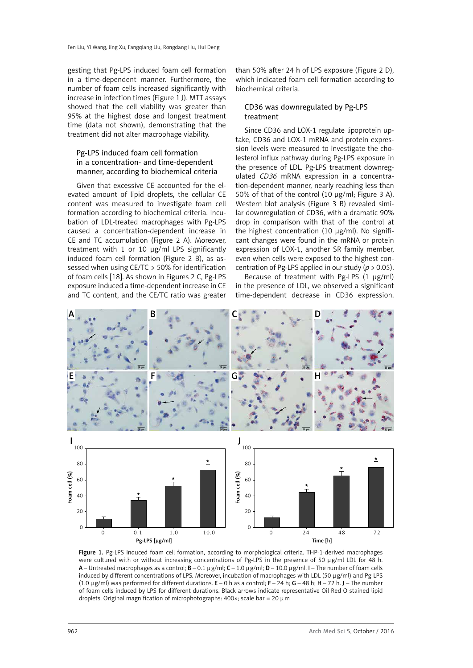gesting that Pg-LPS induced foam cell formation in a time-dependent manner. Furthermore, the number of foam cells increased significantly with increase in infection times (Figure 1 J). MTT assays showed that the cell viability was greater than 95% at the highest dose and longest treatment time (data not shown), demonstrating that the treatment did not alter macrophage viability.

## Pg-LPS induced foam cell formation in a concentration- and time-dependent manner, according to biochemical criteria

Given that excessive CE accounted for the elevated amount of lipid droplets, the cellular CE content was measured to investigate foam cell formation according to biochemical criteria. Incubation of LDL-treated macrophages with Pg-LPS caused a concentration-dependent increase in CE and TC accumulation (Figure 2 A). Moreover, treatment with 1 or 10 µg/ml LPS significantly induced foam cell formation (Figure 2 B), as assessed when using CE/TC > 50% for identification of foam cells [18]. As shown in Figures 2 C, Pg-LPS exposure induced a time-dependent increase in CE and TC content, and the CE/TC ratio was greater

than 50% after 24 h of LPS exposure (Figure 2 D), which indicated foam cell formation according to biochemical criteria.

## CD36 was downregulated by Pg-LPS treatment

Since CD36 and LOX-1 regulate lipoprotein uptake, CD36 and LOX-1 mRNA and protein expression levels were measured to investigate the cholesterol influx pathway during Pg-LPS exposure in the presence of LDL. Pg-LPS treatment downregulated *CD36* mRNA expression in a concentration-dependent manner, nearly reaching less than 50% of that of the control (10 µg/ml; Figure 3 A). Western blot analysis (Figure 3 B) revealed similar downregulation of CD36, with a dramatic 90% drop in comparison with that of the control at the highest concentration (10 µg/ml). No significant changes were found in the mRNA or protein expression of LOX-1, another SR family member, even when cells were exposed to the highest concentration of Pg-LPS applied in our study (*p* > 0.05).

Because of treatment with Pg-LPS (1 µg/ml) in the presence of LDL, we observed a significant time-dependent decrease in CD36 expression.



Figure 1. Pg-LPS induced foam cell formation, according to morphological criteria. THP-1-derived macrophages were cultured with or without increasing concentrations of Pg-LPS in the presence of 50 µg/ml LDL for 48 h. A – Untreated macrophages as a control;  $\overline{B}$  – 0.1 µg/ml;  $C$  – 1.0 µg/ml;  $D$  – 10.0 µg/ml. I – The number of foam cells induced by different concentrations of LPS. Moreover, incubation of macrophages with LDL (50 µg/ml) and Pg-LPS (1.0  $\mu$  g/ml) was performed for different durations.  $E - 0$  h as a control;  $F - 24$  h;  $G - 48$  h;  $H - 72$  h. J – The number of foam cells induced by LPS for different durations. Black arrows indicate representative Oil Red O stained lipid droplets. Original magnification of microphotographs: 400×; scale bar = 20 µm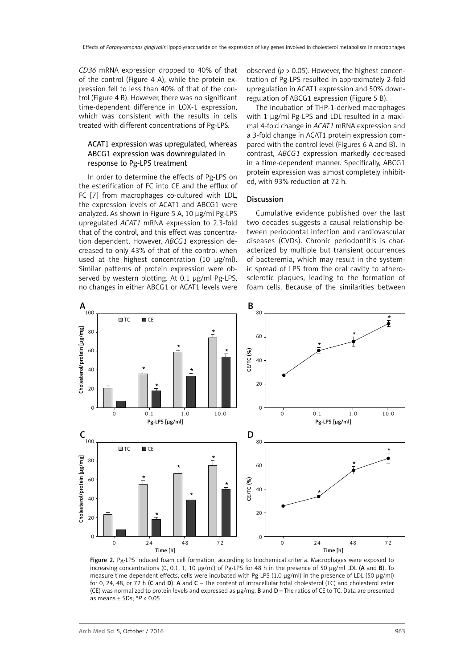*CD36* mRNA expression dropped to 40% of that of the control (Figure 4 A), while the protein expression fell to less than 40% of that of the control (Figure 4 B). However, there was no significant time-dependent difference in LOX-1 expression, which was consistent with the results in cells treated with different concentrations of Pg-LPS.

## ACAT1 expression was upregulated, whereas ABCG1 expression was downregulated in response to Pg-LPS treatment

In order to determine the effects of Pg-LPS on the esterification of FC into CE and the efflux of FC [7] from macrophages co-cultured with LDL, the expression levels of ACAT1 and ABCG1 were analyzed. As shown in Figure 5 A, 10 µg/ml Pg-LPS upregulated *ACAT1* mRNA expression to 2.3-fold that of the control, and this effect was concentration dependent. However, *ABCG1* expression decreased to only 43% of that of the control when used at the highest concentration (10  $\mu$ g/ml). Similar patterns of protein expression were observed by western blotting. At 0.1 µg/ml Pg-LPS, no changes in either ABCG1 or ACAT1 levels were

observed (*p* > 0.05). However, the highest concentration of Pg-LPS resulted in approximately 2-fold upregulation in ACAT1 expression and 50% downregulation of ABCG1 expression (Figure 5 B).

The incubation of THP-1-derived macrophages with 1 µg/ml Pg-LPS and LDL resulted in a maximal 4-fold change in *ACAT1* mRNA expression and a 3-fold change in ACAT1 protein expression compared with the control level (Figures 6 A and B). In contrast, *ABCG1* expression markedly decreased in a time-dependent manner. Specifically, ABCG1 protein expression was almost completely inhibited, with 93% reduction at 72 h.

#### Discussion

Cumulative evidence published over the last two decades suggests a causal relationship between periodontal infection and cardiovascular diseases (CVDs). Chronic periodontitis is characterized by multiple but transient occurrences of bacteremia, which may result in the systemic spread of LPS from the oral cavity to atherosclerotic plaques, leading to the formation of foam cells. Because of the similarities between



Figure 2. Pg-LPS induced foam cell formation, according to biochemical criteria. Macrophages were exposed to increasing concentrations (0, 0.1, 1, 10  $\mu$ g/ml) of Pg-LPS for 48 h in the presence of 50  $\mu$ g/ml LDL (A and B). To measure time-dependent effects, cells were incubated with Pg-LPS (1.0 µg/ml) in the presence of LDL (50 µg/ml) for 0, 24, 48, or 72 h (C and D). A and  $C$  – The content of intracellular total cholesterol (TC) and cholesterol ester (CE) was normalized to protein levels and expressed as µg/mg. B and D – The ratios of CE to TC. Data are presented as means ± SDs; \**P* < 0.05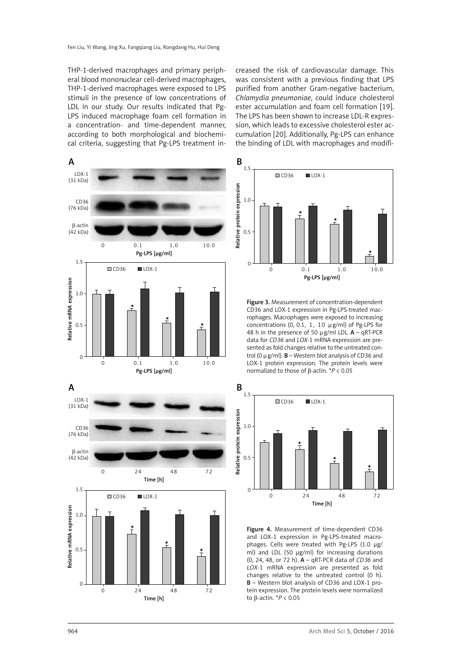THP-1-derived macrophages and primary peripheral blood mononuclear cell-derived macrophages, THP-1-derived macrophages were exposed to LPS stimuli in the presence of low concentrations of LDL in our study. Our results indicated that Pg-LPS induced macrophage foam cell formation in a concentration- and time-dependent manner, according to both morphological and biochemical criteria, suggesting that Pg-LPS treatment in-

creased the risk of cardiovascular damage. This was consistent with a previous finding that LPS purified from another Gram-negative bacterium, *Chlamydia pneumoniae*, could induce cholesterol ester accumulation and foam cell formation [19]. The LPS has been shown to increase LDL-R expression, which leads to excessive cholesterol ester accumulation [20]. Additionally, Pg-LPS can enhance the binding of LDL with macrophages and modifi-



CD36 and LOX-1 expression in Pg-LPS-treated macrophages. Macrophages were exposed to increasing concentrations (0, 0.1, 1, 10 µg/ml) of Pg-LPS for 48 h in the presence of 50  $\mu$ g/ml LDL. A – qRT-PCR data for *CD36* and *LOX*-1 mRNA expression are presented as fold changes relative to the untreated control (0  $\mu$  g/ml). **B** – Western blot analysis of CD36 and LOX-1 protein expression. The protein levels were



964 Arch Med Sci 5, October / 2016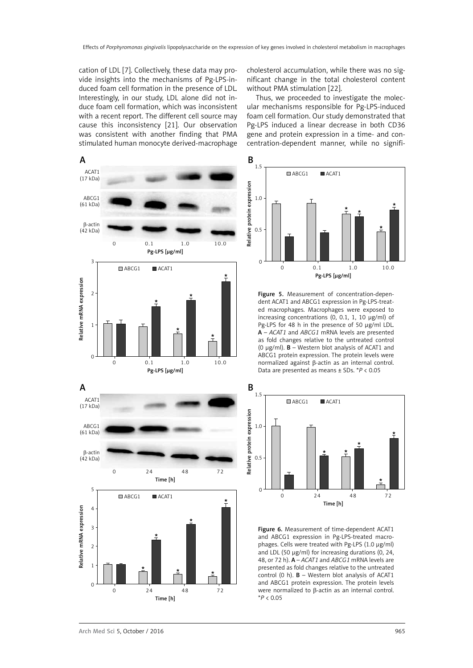cation of LDL [7]. Collectively, these data may provide insights into the mechanisms of Pg-LPS-induced foam cell formation in the presence of LDL. Interestingly, in our study, LDL alone did not induce foam cell formation, which was inconsistent with a recent report. The different cell source may cause this inconsistency [21]. Our observation was consistent with another finding that PMA stimulated human monocyte derived-macrophage cholesterol accumulation, while there was no significant change in the total cholesterol content without PMA stimulation [22].

Thus, we proceeded to investigate the molecular mechanisms responsible for Pg-LPS-induced foam cell formation. Our study demonstrated that Pg-LPS induced a linear decrease in both CD36 gene and protein expression in a time- and concentration-dependent manner, while no signifi-





Figure 5. Measurement of concentration-dependent ACAT1 and ABCG1 expression in Pg-LPS-treated macrophages. Macrophages were exposed to increasing concentrations (0, 0.1, 1, 10 µg/ml) of Pg-LPS for 48 h in the presence of 50 µg/ml LDL. A – *ACAT1* and *ABCG1* mRNA levels are presented as fold changes relative to the untreated control (0  $\mu$ g/ml). **B** – Western blot analysis of ACAT1 and ABCG1 protein expression. The protein levels were normalized against  $\beta$ -actin as an internal control. Data are presented as means ± SDs. \**P* < 0.05



Figure 6. Measurement of time-dependent ACAT1 and ABCG1 expression in Pg-LPS-treated macrophages. Cells were treated with Pg-LPS (1.0 µg/ml) and LDL (50 µg/ml) for increasing durations (0, 24, 48, or 72 h). A – *ACAT1* and *ABCG1* mRNA levels are presented as fold changes relative to the untreated control (0 h).  $B$  – Western blot analysis of ACAT1 and ABCG1 protein expression. The protein levels were normalized to β-actin as an internal control. \**P* < 0.05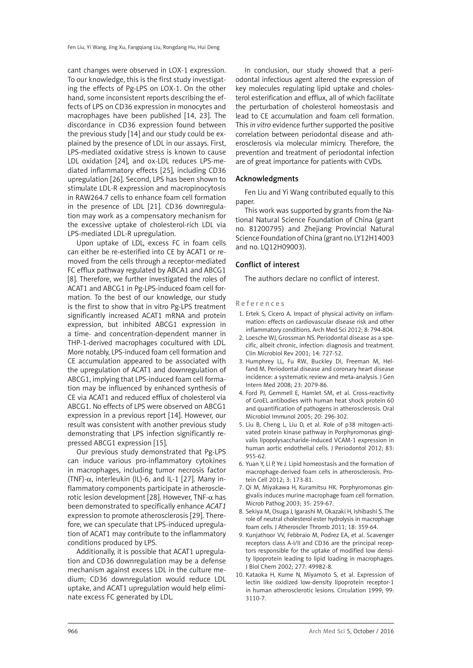cant changes were observed in LOX-1 expression. To our knowledge, this is the first study investigating the effects of Pg-LPS on LOX-1. On the other hand, some inconsistent reports describing the effects of LPS on CD36 expression in monocytes and macrophages have been published [14, 23]. The discordance in CD36 expression found between the previous study [14] and our study could be explained by the presence of LDL in our assays. First, LPS-mediated oxidative stress is known to cause LDL oxidation [24], and ox-LDL reduces LPS-mediated inflammatory effects [25], including CD36 upregulation [26]. Second, LPS has been shown to stimulate LDL-R expression and macropinocytosis in RAW264.7 cells to enhance foam cell formation in the presence of LDL [21]. CD36 downregulation may work as a compensatory mechanism for the excessive uptake of cholesterol-rich LDL via LPS-mediated LDL-R upregulation.

Upon uptake of LDL, excess FC in foam cells can either be re-esterified into CE by ACAT1 or removed from the cells through a receptor-mediated FC efflux pathway regulated by ABCA1 and ABCG1 [8]. Therefore, we further investigated the roles of ACAT1 and ABCG1 in Pg-LPS-induced foam cell formation. To the best of our knowledge, our study is the first to show that in vitro Pg-LPS treatment significantly increased ACAT1 mRNA and protein expression, but inhibited ABCG1 expression in a time- and concentration-dependent manner in THP-1-derived macrophages cocultured with LDL. More notably, LPS-induced foam cell formation and CE accumulation appeared to be associated with the upregulation of ACAT1 and downregulation of ABCG1, implying that LPS-induced foam cell formation may be influenced by enhanced synthesis of CE via ACAT1 and reduced efflux of cholesterol via ABCG1. No effects of LPS were observed on ABCG1 expression in a previous report [14]. However, our result was consistent with another previous study demonstrating that LPS infection significantly repressed ABCG1 expression [15].

Our previous study demonstrated that Pg-LPS can induce various pro-inflammatory cytokines in macrophages, including tumor necrosis factor (TNF)-α, interleukin (IL)-6, and IL-1 [27]. Many inflammatory components participate in atherosclerotic lesion development [28]. However, TNF- $α$  has been demonstrated to specifically enhance *ACAT1* expression to promote atherosclerosis [29]. Therefore, we can speculate that LPS-induced upregulation of ACAT1 may contribute to the inflammatory conditions produced by LPS.

Additionally, it is possible that ACAT1 upregulation and CD36 downregulation may be a defense mechanism against excess LDL in the culture medium; CD36 downregulation would reduce LDL uptake, and ACAT1 upregulation would help eliminate excess FC generated by LDL.

In conclusion, our study showed that a periodontal infectious agent altered the expression of key molecules regulating lipid uptake and cholesterol esterification and efflux, all of which facilitate the perturbation of cholesterol homeostasis and lead to CE accumulation and foam cell formation. This *in vitro* evidence further supported the positive correlation between periodontal disease and atherosclerosis via molecular mimicry. Therefore, the prevention and treatment of periodontal infection are of great importance for patients with CVDs.

# Acknowledgments

Fen Liu and Yi Wang contributed equally to this paper.

This work was supported by grants from the National Natural Science Foundation of China (grant no. 81200795) and Zhejiang Provincial Natural Science Foundation of China (grant no. LY12H14003 and no. LQ12H09003).

#### Conflict of interest

The authors declare no conflict of interest.

References

- 1. Ertek S, Cicero A. Impact of physical activity on inflammation: effects on cardiovascular disease risk and other inflammatory conditions. Arch Med Sci 2012; 8: 794-804.
- 2. Loesche WJ, Grossman NS. Periodontal disease as a specific, albeit chronic, infection: diagnosis and treatment. Clin Microbiol Rev 2001; 14: 727-52.
- 3. Humphrey LL, Fu RW, Buckley DI, Freeman M, Helfand M. Periodontal disease and coronary heart disease incidence: a systematic review and meta-analysis. J Gen Intern Med 2008; 23: 2079-86.
- 4. Ford PJ, Gemmell E, Hamlet SM, et al. Cross-reactivity of GroEL antibodies with human heat shock protein 60 and quantification of pathogens in atherosclerosis. Oral Microbiol Immunol 2005; 20: 296-302.
- 5. Liu B, Cheng L, Liu D, et al. Role of p38 mitogen-activated protein kinase pathway in Porphyromonas gingivalis lipopolysaccharide-induced VCAM-1 expression in human aortic endothelial cells. J Periodontol 2012; 83: 955-62.
- 6. Yuan Y, Li P, Ye J. Lipid homeostasis and the formation of macrophage-derived foam cells in atherosclerosis. Protein Cell 2012; 3: 173-81.
- 7. Qi M, Miyakawa H, Kuramitsu HK. Porphyromonas gingivalis induces murine macrophage foam cell formation. Microb Pathog 2003; 35: 259-67.
- 8. Sekiya M, Osuga J, Igarashi M, Okazaki H, Ishibashi S. The role of neutral cholesterol ester hydrolysis in macrophage foam cells. J Atheroscler Thromb 2011; 18: 359-64.
- 9. Kunjathoor VV, Febbraio M, Podrez EA, et al. Scavenger receptors class A-I/II and CD36 are the principal receptors responsible for the uptake of modified low density lipoprotein leading to lipid loading in macrophages. J Biol Chem 2002; 277: 49982-8.
- 10. Kataoka H, Kume N, Miyamoto S, et al. Expression of lectin like oxidized low-density lipoprotein receptor-1 in human atherosclerotic lesions. Circulation 1999; 99: 3110-7.